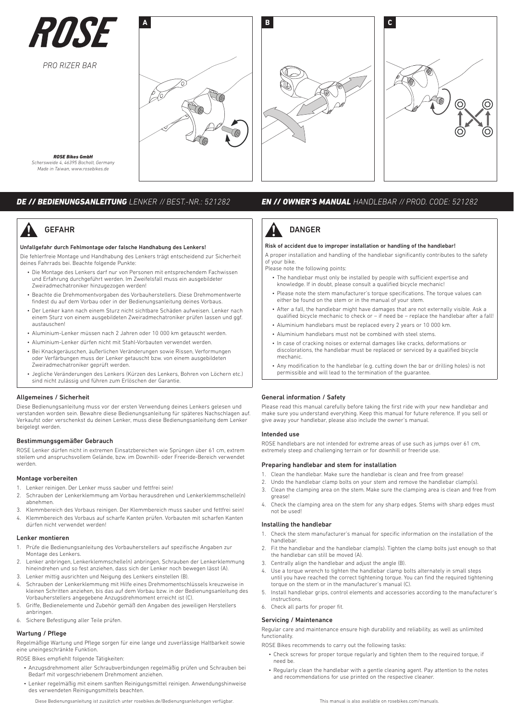

*PRO RIZER BAR*





*ROSE Bikes GmbH Schersweide 4, 46395 Bocholt, Germany Made in Taiwan, www.rosebikes.de*

# **GEFAHR**

# Unfallgefahr durch Fehlmontage oder falsche Handhabung des Lenkers!

Die fehlerfreie Montage und Handhabung des Lenkers trägt entscheidend zur Sicherheit deines Fahrrads bei. Beachte folgende Punkte:

- Die Montage des Lenkers darf nur von Personen mit entsprechendem Fachwissen und Erfahrung durchgeführt werden. Im Zweifelsfall muss ein ausgebildeter Zweiradmechatroniker hinzugezogen werden!
- Beachte die Drehmomentvorgaben des Vorbauherstellers. Diese Drehmomentwerte findest du auf dem Vorbau oder in der Bedienungsanleitung deines Vorbaus.
- Der Lenker kann nach einem Sturz nicht sichtbare Schäden aufweisen. Lenker nach einem Sturz von einem ausgebildeten Zweiradmechatroniker prüfen lassen und ggf. austauschen!
- Aluminium-Lenker müssen nach 2 Jahren oder 10 000 km getauscht werden.
- Aluminium-Lenker dürfen nicht mit Stahl-Vorbauten verwendet werden.
- Bei Knackgeräuschen, äußerlichen Veränderungen sowie Rissen, Verformungen oder Verfärbungen muss der Lenker getauscht bzw. von einem ausgebildeten Zweiradmechatroniker geprüft werden.
- Jegliche Veränderungen des Lenkers (Kürzen des Lenkers, Bohren von Löchern etc.) sind nicht zulässig und führen zum Erlöschen der Garantie.

# Allgemeines / Sicherheit

Diese Bedienungsanleitung muss vor der ersten Verwendung deines Lenkers gelesen und verstanden worden sein. Bewahre diese Bedienungsanleitung für späteres Nachschlagen auf. Verkaufst oder verschenkst du deinen Lenker, muss diese Bedienungsanleitung dem Lenker beigelegt werden.

# Bestimmungsgemäßer Gebrauch

ROSE Lenker dürfen nicht in extremen Einsatzbereichen wie Sprüngen über 61 cm, extrem steilem und anspruchsvollem Gelände, bzw. im Downhill- oder Freeride-Bereich verwendet werden.

# Montage vorbereiten

- 1. Lenker reinigen. Der Lenker muss sauber und fettfrei sein!
- 2. Schrauben der Lenkerklemmung am Vorbau herausdrehen und Lenkerklemmschelle(n) abnehmen.
- 3. Klemmbereich des Vorbaus reinigen. Der Klemmbereich muss sauber und fettfrei sein!
- 4. Klemmbereich des Vorbaus auf scharfe Kanten prüfen. Vorbauten mit scharfen Kanten dürfen nicht verwendet werden!

# Lenker montieren

- 1. Prüfe die Bedienungsanleitung des Vorbauherstellers auf spezifische Angaben zur Montage des Lenkers.
- 2. Lenker anbringen, Lenkerklemmschelle(n) anbringen, Schrauben der Lenkerklemmung hineindrehen und so fest anziehen, dass sich der Lenker noch bewegen lässt (A).
- 3. Lenker mittig ausrichten und Neigung des Lenkers einstellen (B).
- 4. Schrauben der Lenkerklemmung mit Hilfe eines Drehmomentschlüssels kreuzweise in kleinen Schritten anziehen, bis das auf dem Vorbau bzw. in der Bedienungsanleitung des Vorbauherstellers angegebene Anzugsdrehmoment erreicht ist (C).
- 5. Griffe, Bedienelemente und Zubehör gemäß den Angaben des jeweiligen Herstellers anbringen.
- 6. Sichere Befestigung aller Teile prüfen.

# Wartung / Pflege

Regelmäßige Wartung und Pflege sorgen für eine lange und zuverlässige Haltbarkeit sowie eine uneingeschränkte Funktion.

ROSE Bikes empfiehlt folgende Tätigkeiten:

- Anzugsdrehmoment aller Schraubverbindungen regelmäßig prüfen und Schrauben bei Bedarf mit vorgeschriebenem Drehmoment anziehen.
- Lenker regelmäßig mit einem sanften Reinigungsmittel reinigen. Anwendungshinweise des verwendeten Reinigungsmittels beachten.

Diese Bedienungsanleitung ist zusätzlich unter rosebikes.de/Bedienungsanleitungen verfügbar.

# *DE // BEDIENUNGSANLEITUNG LENKER // BEST.-NR.: 521282 EN // OWNER'S MANUAL HANDLEBAR // PROD. CODE: 521282*



# Risk of accident due to improper installation or handling of the handlebar!

A proper installation and handling of the handlebar significantly contributes to the safety of your bike.

Please note the following points:

- The handlebar must only be installed by people with sufficient expertise and knowledge. If in doubt, please consult a qualified bicycle mechanic!
- Please note the stem manufacturer's torque specifications. The torque values can either be found on the stem or in the manual of your stem.
- After a fall, the handlebar might have damages that are not externally visible. Ask a qualified bicycle mechanic to check or – if need be – replace the handlebar after a fall!
- Aluminium handlebars must be replaced every 2 years or 10 000 km.
- Aluminium handlebars must not be combined with steel stems.
- In case of cracking noises or external damages like cracks, deformations or discolorations, the handlebar must be replaced or serviced by a qualified bicycle mechanic.
- Any modification to the handlebar (e.g. cutting down the bar or drilling holes) is not permissible and will lead to the termination of the guarantee.

# General information / Safety

Please read this manual carefully before taking the first ride with your new handlebar and make sure you understand everything. Keep this manual for future reference. If you sell or give away your handlebar, please also include the owner's manual.

# Intended use

ROSE handlebars are not intended for extreme areas of use such as jumps over 61 cm, extremely steep and challenging terrain or for downhill or freeride use.

# Preparing handlebar and stem for installation

- 1. Clean the handlebar. Make sure the handlebar is clean and free from grease!
- 2. Undo the handlebar clamp bolts on your stem and remove the handlebar clamp(s).
- 3. Clean the clamping area on the stem. Make sure the clamping area is clean and free from grease!
- 4. Check the clamping area on the stem for any sharp edges. Stems with sharp edges must not be used!

# Installing the handlebar

- 1. Check the stem manufacturer's manual for specific information on the installation of the handlebar.
- 2. Fit the handlebar and the handlebar clamp(s). Tighten the clamp bolts just enough so that the handlebar can still be moved (A).
- 3. Centrally align the handlebar and adjust the angle (B).
- Use a torque wrench to tighten the handlebar clamp bolts alternately in small steps until you have reached the correct tightening torque. You can find the required tightening torque on the stem or in the manufacturer's manual (C).
- 5. Install handlebar grips, control elements and accessories according to the manufacturer's instructions.
- 6. Check all parts for proper fit.

# Servicing / Maintenance

Regular care and maintenance ensure high durability and reliability, as well as unlimited functionality.

ROSE Bikes recommends to carry out the following tasks:

- Check screws for proper torque regularly and tighten them to the required torque, if need be.
- Regularly clean the handlebar with a gentle cleaning agent. Pay attention to the notes and recommendations for use printed on the respective cleaner.